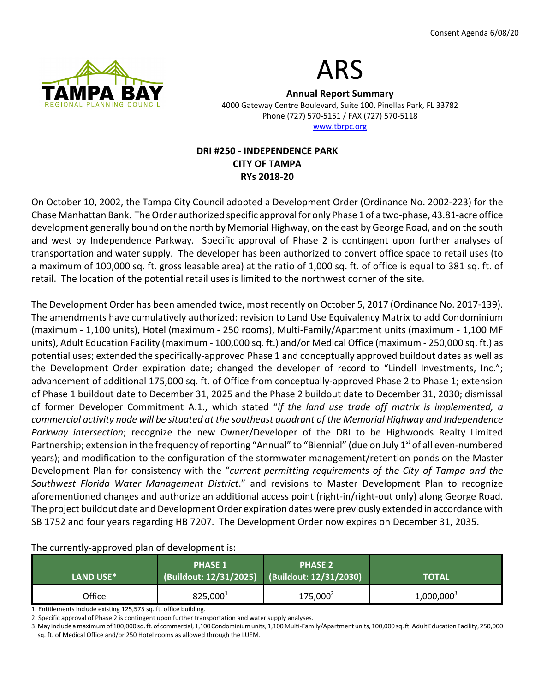



Annual Report Summary 4000 Gateway Centre Boulevard, Suite 100, Pinellas Park, FL 33782 Phone (727) 570-5151 / FAX (727) 570-5118 www.tbrpc.org

# DRI #250 - INDEPENDENCE PARK CITY OF TAMPA RYs 2018-20

On October 10, 2002, the Tampa City Council adopted a Development Order (Ordinance No. 2002-223) for the Chase Manhattan Bank. The Order authorized specific approval for only Phase 1 of a two-phase, 43.81-acre office development generally bound on the north by Memorial Highway, on the east by George Road, and on the south and west by Independence Parkway. Specific approval of Phase 2 is contingent upon further analyses of transportation and water supply. The developer has been authorized to convert office space to retail uses (to a maximum of 100,000 sq. ft. gross leasable area) at the ratio of 1,000 sq. ft. of office is equal to 381 sq. ft. of retail. The location of the potential retail uses is limited to the northwest corner of the site.

The Development Order has been amended twice, most recently on October 5, 2017 (Ordinance No. 2017-139). The amendments have cumulatively authorized: revision to Land Use Equivalency Matrix to add Condominium (maximum - 1,100 units), Hotel (maximum - 250 rooms), Multi-Family/Apartment units (maximum - 1,100 MF units), Adult Education Facility (maximum - 100,000 sq. ft.) and/or Medical Office (maximum - 250,000 sq. ft.) as potential uses; extended the specifically-approved Phase 1 and conceptually approved buildout dates as well as the Development Order expiration date; changed the developer of record to "Lindell Investments, Inc."; advancement of additional 175,000 sq. ft. of Office from conceptually-approved Phase 2 to Phase 1; extension of Phase 1 buildout date to December 31, 2025 and the Phase 2 buildout date to December 31, 2030; dismissal of former Developer Commitment A.1., which stated "if the land use trade off matrix is implemented, a commercial activity node will be situated at the southeast quadrant of the Memorial Highway and Independence Parkway intersection; recognize the new Owner/Developer of the DRI to be Highwoods Realty Limited Partnership; extension in the frequency of reporting "Annual" to "Biennial" (due on July 1<sup>st</sup> of all even-numbered years); and modification to the configuration of the stormwater management/retention ponds on the Master Development Plan for consistency with the "current permitting requirements of the City of Tampa and the Southwest Florida Water Management District." and revisions to Master Development Plan to recognize aforementioned changes and authorize an additional access point (right-in/right-out only) along George Road. The project buildout date and Development Order expiration dates were previously extended in accordance with SB 1752 and four years regarding HB 7207. The Development Order now expires on December 31, 2035.

The currently-approved plan of development is: LAND USE\* PHASE 1 (Buildout: 12/31/2025) PHASE 2 (Buildout: 12/31/2030) TOTAL Office  $825,000^1$  $175,000^2$ 1,000,000<sup>3</sup>

1. Entitlements include existing 125,575 sq. ft. office building.

2. Specific approval of Phase 2 is contingent upon further transportation and water supply analyses.

3. May include a maximum of 100,000 sq. ft. of commercial, 1,100 Condominium units, 1,100 Multi-Family/Apartment units, 100,000 sq. ft. Adult Education Facility, 250,000 sq. ft. of Medical Office and/or 250 Hotel rooms as allowed through the LUEM.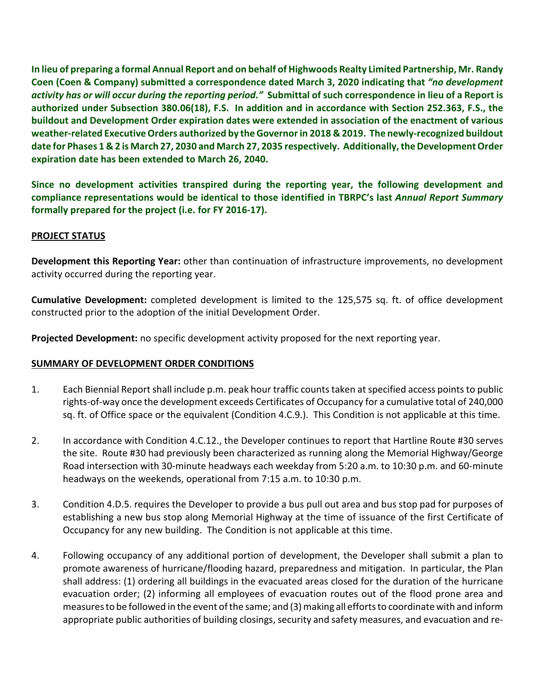In lieu of preparing a formal Annual Report and on behalf of Highwoods Realty Limited Partnership, Mr. Randy Coen (Coen & Company) submitted a correspondence dated March 3, 2020 indicating that "no development activity has or will occur during the reporting period." Submittal of such correspondence in lieu of a Report is authorized under Subsection 380.06(18), F.S. In addition and in accordance with Section 252.363, F.S., the buildout and Development Order expiration dates were extended in association of the enactment of various weather-related Executive Orders authorized by the Governor in 2018 & 2019. The newly-recognized buildout date for Phases 1 & 2 is March 27, 2030 and March 27, 2035 respectively. Additionally, the Development Order expiration date has been extended to March 26, 2040.

Since no development activities transpired during the reporting year, the following development and compliance representations would be identical to those identified in TBRPC's last Annual Report Summary formally prepared for the project (i.e. for FY 2016-17).

## PROJECT STATUS

Development this Reporting Year: other than continuation of infrastructure improvements, no development activity occurred during the reporting year.

Cumulative Development: completed development is limited to the 125,575 sq. ft. of office development constructed prior to the adoption of the initial Development Order.

Projected Development: no specific development activity proposed for the next reporting year.

#### SUMMARY OF DEVELOPMENT ORDER CONDITIONS

- 1. Each Biennial Report shall include p.m. peak hour traffic counts taken at specified access points to public rights-of-way once the development exceeds Certificates of Occupancy for a cumulative total of 240,000 sq. ft. of Office space or the equivalent (Condition 4.C.9.). This Condition is not applicable at this time.
- 2. In accordance with Condition 4.C.12., the Developer continues to report that Hartline Route #30 serves the site. Route #30 had previously been characterized as running along the Memorial Highway/George Road intersection with 30-minute headways each weekday from 5:20 a.m. to 10:30 p.m. and 60-minute headways on the weekends, operational from 7:15 a.m. to 10:30 p.m.
- 3. Condition 4.D.5. requires the Developer to provide a bus pull out area and bus stop pad for purposes of establishing a new bus stop along Memorial Highway at the time of issuance of the first Certificate of Occupancy for any new building. The Condition is not applicable at this time.
- 4. Following occupancy of any additional portion of development, the Developer shall submit a plan to promote awareness of hurricane/flooding hazard, preparedness and mitigation. In particular, the Plan shall address: (1) ordering all buildings in the evacuated areas closed for the duration of the hurricane evacuation order; (2) informing all employees of evacuation routes out of the flood prone area and measures to be followed in the event of the same; and (3) making all efforts to coordinate with and inform appropriate public authorities of building closings, security and safety measures, and evacuation and re-